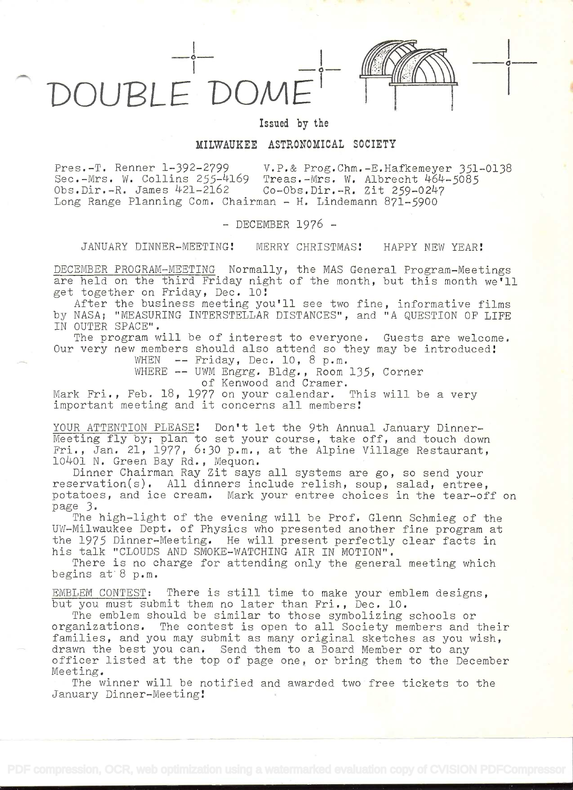DOUPLE'DOM±



o

Issued by the

## MILWAUKEE ASTRONOMICAL SOCIETY

Pres.-T. Renner 1-392-2799 V.P.& Prog.Chm.-E.Hafkemeyer 351-0138<br>Sec.-Mrs. W. Collins 255-4169 Treas.-Mrs. W. Albrecht 464-5085 Sec.-Mrs. W. Collins  $255-4169$  Treas.-Mrs. W. Albrecht  $464-5085$ <br>Obs.Dir.-R. James  $421-2162$  Co-Obs.Dir.-R. Zit 259-0247 Co-Obs.Dir.-R. Zit 259-0247 Long Range Planning Com. Chairman - H. Lindemann 871-5900

- DECEMBER 1976 -

JANUARY DINNER-MEETING! MERRY CHRISTMAS! HAPPY NEW YEAR!

DECEMBER PROGRAM-MEETING Normally, the MAS General Program-Meetings are held on the third Friday night of the month, but this month we'll get together on Friday, Dec. lO!

After the business meeting you'll see two fine, informative films by NASA; "MEASURING INTERSTELLAR DISTANCES", and "A QUESTION OF LIFE IN OUTER SPACE".

The program will be of interest to everyone. Guests are welcome. Our very new members should also attend so they may be introduced!<br>WHEN -- Friday, Dec. 10, 8 p.m.

WHERE -- UWM Engrg. Bldg. , Room 135, Corner

of Kenwood and Cramer.

Mark Fri., Feb. 18, 1977 on your calendar. This will be a very important meeting and it concerns all members!

YOUR ATTENTION PLEASE! Don't let the 9th Annual January Dinner-Meeting fly by; plan to set your course, take off, and touch down Fri., Jan. 21, 1977, 6:30 p.m., at the Alpine Village Restaurant, 10401 N. Green Bay Rd. , Mequon.

Dinner Chairman Ray Zit says all systems are go, so send your reservation(s). All dinners include relish, soup, salad, entree, potatoes, and ice cream. Mark your entree choices in the tear-off on page 3.

The high-light of the evening will be Prof. Glenn Schmieg of the UW-Milwaukee Dept. of Physics who presented another fine program at the 1975 Dinner-Meeting. He will present perfectly clear facts in. his talk "CLOUDS AND SMOKE-WATCHING AIR IN MOTION".

There is no charge for attending only the general meeting which begins at  $8$  p.m.

EMBLEM CONTEST: There is still time to make your emblem designs, but you must submit them no later than Fri., Dec. 10.

The emblem should be similar to those symbolizing schools or organizations. The contest is open to all Society members and their families, and you may submit as many original sketches as you wish, drawn the best you can. Send them to a Board Member or to any officer listed at the top of page one, or bring them to the December Meeting.

The winner will be notified and awarded two free tickets to the January Dinner-Meeting!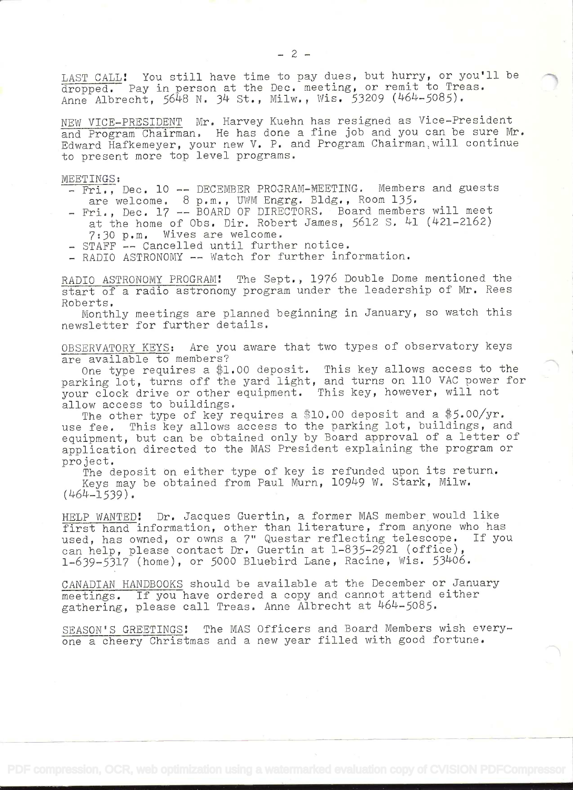LAST CALL: You still have time to pay dues, but hurry, or you'll be dropped. Pay in person at the Dec. meeting, or remit to Treas. Anne Albrecht, 5648 N. 34 St., Milw., Wis. 53209 (464-5085).

NEW VICE-PRESIDENT Mr. Harvey Kuehn has resigned as Vice-President and Program Chairman. He has done a fine job and you can be sure Mr. Edward Hafkemeyer, your new V. P. and Program Chairman, will continue to present more top level programs.

MEETINGS:

- Fri., Dec. 10 -- DECEMBER PROGRAM-MEETING. Members and guests are welcome. 8 p.m., UWM Engrg. Bldg., Room 135.
- Fri., Dec. 17 -- BOARD OF DIRECTORS. Board members will meet at the home of Obs. Dir. Robert James, 5612 5. 41 (421-2162) 7:30 p.m. Wives are welcome.
- STAFF -- Cancelled until further notice,
- RADIO ASTRONOMY -- Watch for further information.

RADIO ASTRONOMY PROGRAM: The Sept., 1976 Double Dome mentioned the start of a radio astronomy program under the leadership of Mr. Rees Roberts,

Monthly meetings are planned beginning in January, so watch this newsletter for further details.

OBSERVATORY KEYS: Are you aware that two types of observatory keys are available to members?

One type requires a \$1.00 deposit. This key allows access to the parking lot, turns off the yard light, and turns on 110 VAC power for your clock drive or other equipment. This key, however, will not allow access to buildings.

The other type of key requires a \$10.00 deposit and a \$5.00/yr. use fee. This key allows access to the parking lot, buildings, and equipment, but can be obtained only by Board approval of a letter of application directed to the MAS President explaining the program or project.

The deposit on either type of key is refunded upon its return. Keys may be obtained from Paul Murn, 10949 W. Stark, Milw.  $(464 - 1539)$ .

HELP WANTED! Dr. Jacques Guertin, a former MAS member would like first hand information, other than literature, from anyone who has used, has owned, or owns a 7" Questam reflecting telescope. If you can help, please contact Dr, Guertin at l-835-2921 (office), l-639-5317 (home), or 5000 Bluebird Lane, Racine, Wis. 53406.

CANADIAN HANDBOOKS should be available at the December or January meetings. If you have ordered a copy and cannot attend either gathering, please call Treas. Anne Albrecht at 464-5085.

SEASON'S GREETINGS: The MAS Officers and Board Members wish everyone a cheery Christmas and a new year filled with good fortune.